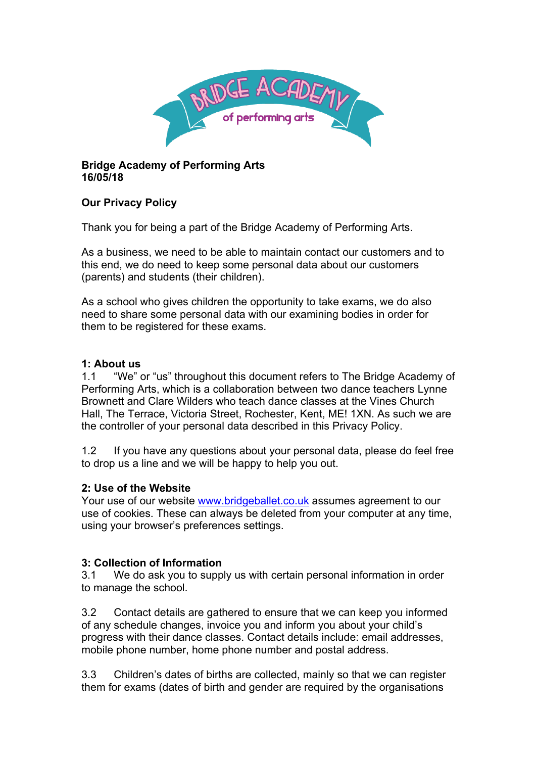

### **Bridge Academy of Performing Arts 16/05/18**

# **Our Privacy Policy**

Thank you for being a part of the Bridge Academy of Performing Arts.

As a business, we need to be able to maintain contact our customers and to this end, we do need to keep some personal data about our customers (parents) and students (their children).

As a school who gives children the opportunity to take exams, we do also need to share some personal data with our examining bodies in order for them to be registered for these exams.

#### **1: About us**

1.1 "We" or "us" throughout this document refers to The Bridge Academy of Performing Arts, which is a collaboration between two dance teachers Lynne Brownett and Clare Wilders who teach dance classes at the Vines Church Hall, The Terrace, Victoria Street, Rochester, Kent, ME! 1XN. As such we are the controller of your personal data described in this Privacy Policy.

1.2 If you have any questions about your personal data, please do feel free to drop us a line and we will be happy to help you out.

### **2: Use of the Website**

Your use of our website www.bridgeballet.co.uk assumes agreement to our use of cookies. These can always be deleted from your computer at any time, using your browser's preferences settings.

### **3: Collection of Information**

3.1 We do ask you to supply us with certain personal information in order to manage the school.

3.2 Contact details are gathered to ensure that we can keep you informed of any schedule changes, invoice you and inform you about your child's progress with their dance classes. Contact details include: email addresses, mobile phone number, home phone number and postal address.

3.3 Children's dates of births are collected, mainly so that we can register them for exams (dates of birth and gender are required by the organisations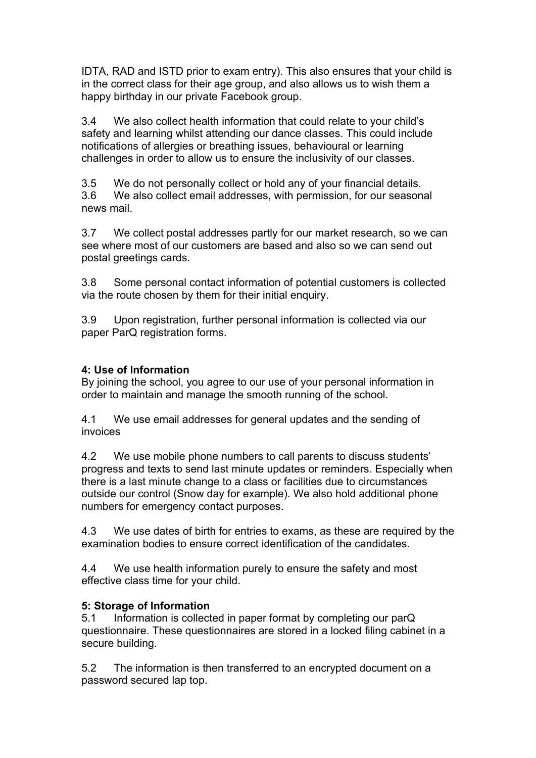IDTA, RAD and ISTD prior to exam entry). This also ensures that your child is in the correct class for their age group, and also allows us to wish them a happy birthday in our private Facebook group.

3.4 We also collect health information that could relate to your child's safety and learning whilst attending our dance classes. This could include notifications of allergies or breathing issues, behavioural or learning challenges in order to allow us to ensure the inclusivity of our classes.

3.5 We do not personally collect or hold any of your financial details. 3.6 We also collect email addresses, with permission, for our seasonal news mail.

3.7 We collect postal addresses partly for our market research, so we can see where most of our customers are based and also so we can send out postal greetings cards.

3.8 Some personal contact information of potential customers is collected via the route chosen by them for their initial enquiry.

3.9 Upon registration, further personal information is collected via our paper ParQ registration forms.

# **4: Use of Information**

By joining the school, you agree to our use of your personal information in order to maintain and manage the smooth running of the school.

4.1 We use email addresses for general updates and the sending of invoices

4.2 We use mobile phone numbers to call parents to discuss students' progress and texts to send last minute updates or reminders. Especially when there is a last minute change to a class or facilities due to circumstances outside our control (Snow day for example). We also hold additional phone numbers for emergency contact purposes.

4.3 We use dates of birth for entries to exams, as these are required by the examination bodies to ensure correct identification of the candidates.

4.4 We use health information purely to ensure the safety and most effective class time for your child.

### **5: Storage of Information**

5.1 Information is collected in paper format by completing our parQ questionnaire. These questionnaires are stored in a locked filing cabinet in a secure building.

5.2 The information is then transferred to an encrypted document on a password secured lap top.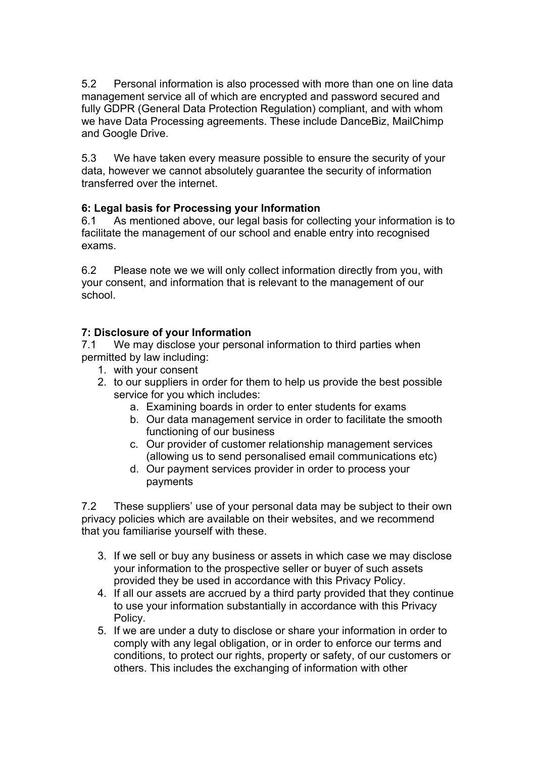5.2 Personal information is also processed with more than one on line data management service all of which are encrypted and password secured and fully GDPR (General Data Protection Regulation) compliant, and with whom we have Data Processing agreements. These include DanceBiz, MailChimp and Google Drive.

5.3 We have taken every measure possible to ensure the security of your data, however we cannot absolutely guarantee the security of information transferred over the internet.

### **6: Legal basis for Processing your Information**

6.1 As mentioned above, our legal basis for collecting your information is to facilitate the management of our school and enable entry into recognised exams.

6.2 Please note we we will only collect information directly from you, with your consent, and information that is relevant to the management of our school.

### **7: Disclosure of your Information**

7.1 We may disclose your personal information to third parties when permitted by law including:

- 1. with your consent
- 2. to our suppliers in order for them to help us provide the best possible service for you which includes:
	- a. Examining boards in order to enter students for exams
	- b. Our data management service in order to facilitate the smooth functioning of our business
	- c. Our provider of customer relationship management services (allowing us to send personalised email communications etc)
	- d. Our payment services provider in order to process your payments

7.2 These suppliers' use of your personal data may be subject to their own privacy policies which are available on their websites, and we recommend that you familiarise yourself with these.

- 3. If we sell or buy any business or assets in which case we may disclose your information to the prospective seller or buyer of such assets provided they be used in accordance with this Privacy Policy.
- 4. If all our assets are accrued by a third party provided that they continue to use your information substantially in accordance with this Privacy Policy.
- 5. If we are under a duty to disclose or share your information in order to comply with any legal obligation, or in order to enforce our terms and conditions, to protect our rights, property or safety, of our customers or others. This includes the exchanging of information with other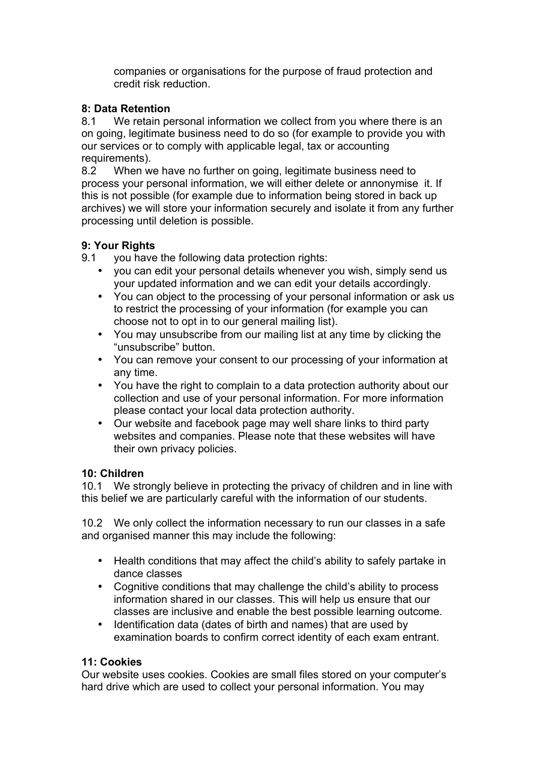companies or organisations for the purpose of fraud protection and credit risk reduction.

## **8: Data Retention**

8.1 We retain personal information we collect from you where there is an on going, legitimate business need to do so (for example to provide you with our services or to comply with applicable legal, tax or accounting requirements).

8.2 When we have no further on going, legitimate business need to process your personal information, we will either delete or annonymise it. If this is not possible (for example due to information being stored in back up archives) we will store your information securely and isolate it from any further processing until deletion is possible.

# **9: Your Rights**

9.1 you have the following data protection rights:

- you can edit your personal details whenever you wish, simply send us your updated information and we can edit your details accordingly.
- You can object to the processing of your personal information or ask us to restrict the processing of your information (for example you can choose not to opt in to our general mailing list).
- You may unsubscribe from our mailing list at any time by clicking the "unsubscribe" button.
- You can remove your consent to our processing of your information at any time.
- You have the right to complain to a data protection authority about our collection and use of your personal information. For more information please contact your local data protection authority.
- Our website and facebook page may well share links to third party websites and companies. Please note that these websites will have their own privacy policies.

### **10: Children**

10.1 We strongly believe in protecting the privacy of children and in line with this belief we are particularly careful with the information of our students.

10.2 We only collect the information necessary to run our classes in a safe and organised manner this may include the following:

- Health conditions that may affect the child's ability to safely partake in dance classes
- Cognitive conditions that may challenge the child's ability to process information shared in our classes. This will help us ensure that our classes are inclusive and enable the best possible learning outcome.
- Identification data (dates of birth and names) that are used by examination boards to confirm correct identity of each exam entrant.

# **11: Cookies**

Our website uses cookies. Cookies are small files stored on your computer's hard drive which are used to collect your personal information. You may